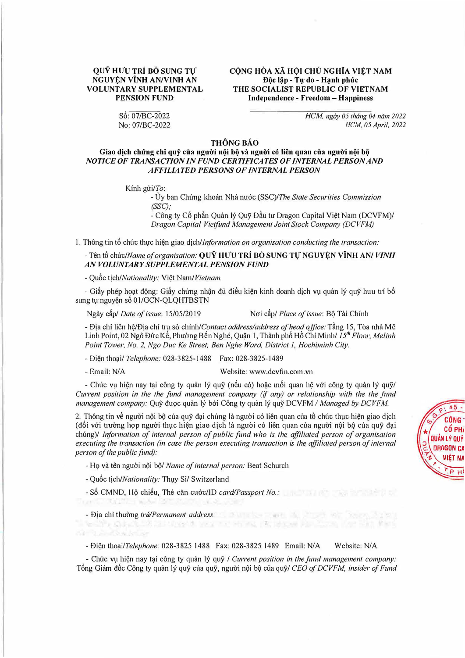## OUŶ HƯU TRÍ BỎ SUNG TƯ NGUYỆN VĨNH AN/VINH AN **VOLUNTARY SUPPLEMENTAL PENSION FUND**

Số: 07/BC-2022 No: 07/BC-2022

## CÔNG HÒA XÃ HỘI CHỦ NGHĨA VIẾT NAM Độc lập - Tự do - Hạnh phúc THE SOCIALIST REPUBLIC OF VIETNAM Independence - Freedom - Happiness

HCM, ngày 05 tháng 04 năm 2022 HCM, 05 April, 2022

## THÔNG BÁO

## Giao dịch chúng chỉ quỹ của người nội bộ và người có liên quan của người nội bộ NOTICE OF TRANSACTION IN FUND CERTIFICATES OF INTERNAL PERSON AND **AFFILIATED PERSONS OF INTERNAL PERSON**

Kính gửi/To:

- Ủy ban Chứng khoán Nhà nước (SSC)/The State Securities Commission  $(SSC);$ 

- Công ty Cổ phần Quản lý Quỹ Đầu tư Dragon Capital Việt Nam (DCVFM)/ Dragon Capital Vietfund Management Joint Stock Company (DCVFM)

1. Thông tin tổ chức thực hiện giao dịch/Information on organisation conducting the transaction:

- Tên tổ chức/Name of organisation: QUY HUU TRÍ BỐ SUNG TỰ NGUYỆN VĨNH AN/VINH AN VOLUNTARY SUPPLEMENTAL PENSION FUND

- Quốc tich/Nationality: Việt Nam/Vietnam

- Giấy phép hoạt đông: Giấy chứng nhân đủ điều kiên kinh doạnh dịch vụ quản lý quỹ hưu trí bổ sung tự nguyện số 01/GCN-QLQHTBSTN

Ngày cấp/ Date of issue: 15/05/2019

Noi cấp/ Place of issue: Bô Tài Chính

- Đia chi liên hê/Đia chỉ tru sở chính/Contact address/address of head office: Tầng 15, Tòa nhà Mê Linh Point, 02 Ngô Đức Kế, Phường Bến Nghé, Quận 1, Thành phố Hồ Chí Minh/ 15<sup>th</sup> Floor, Melinh Point Tower, No. 2, Ngo Duc Ke Street, Ben Nghe Ward, District 1, Hochiminh City.

- Điện thoại/ Telephone: 028-3825-1488 Fax: 028-3825-1489

- Email: N/A

Website: www.dcvfm.com.vn

- Chức vụ hiện nay tại công ty quản lý quỹ (nếu có) hoặc mối quan hệ với công ty quản lý quỹ/ Current position in the the fund management company (if any) or relationship with the the fund management company: Quỹ được quản lý bởi Công ty quản lý quỹ DCVFM / Managed by DCVFM.

2. Thông tin về người nôi bộ của quỹ đại chúng là người có liên quan của tổ chức thực hiện giao dịch (đối với trường hợp người thực hiện giao dịch là người có liên quan của người nội bộ của quỹ đại chúng)/ Information of internal person of public fund who is the affiliated person of organisation executing the transaction (in case the person executing transaction is the affiliated person of internal person of the public fund):

- Họ và tên người nội bộ/ Name of internal person: Beat Schurch

 $\sim$ 

- Quốc tich/Nationality: Thuy Sĩ/ Switzerland

- Số CMND, Hộ chiếu, Thẻ căn cước/ID card/Passport No.:

- Dia chi thường trú/Permanent address:

- Điện thoai/Telephone: 028-3825 1488 Fax: 028-3825 1489 Email: N/A Website: N/A

- Chức vụ hiện nay tại công ty quản lý quỹ / Current position in the fund management company: Tổng Giám đốc Công ty quản lý quỹ của quỹ, người nội bộ của quỹ/ CEO of DCVFM, insider of Fund

te data shekara ta Mareka yen mai wa katika Marekani wa Tiki Mini